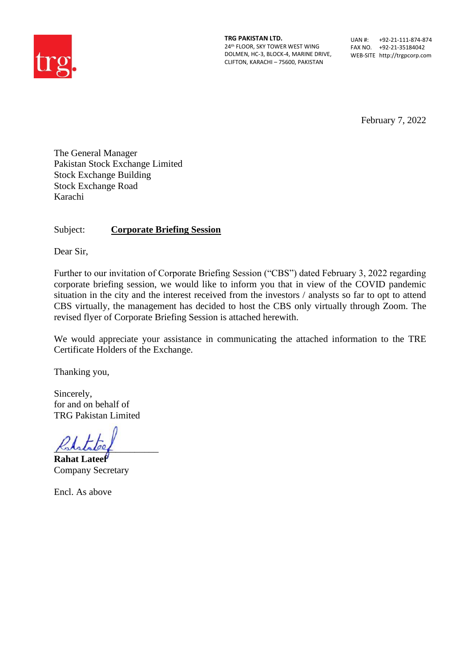

**TRG PAKISTAN LTD.** 24th FLOOR, SKY TOWER WEST WING DOLMEN, HC-3, BLOCK-4, MARINE DRIVE, CLIFTON, KARACHI – 75600, PAKISTAN

UAN #: +92-21-111-874-874 FAX NO. +92-21-35184042 WEB-SITE http://trgpcorp.com

February 7, 2022

The General Manager Pakistan Stock Exchange Limited Stock Exchange Building Stock Exchange Road Karachi

Subject: **Corporate Briefing Session**

Dear Sir,

Further to our invitation of Corporate Briefing Session ("CBS") dated February 3, 2022 regarding corporate briefing session, we would like to inform you that in view of the COVID pandemic situation in the city and the interest received from the investors / analysts so far to opt to attend CBS virtually, the management has decided to host the CBS only virtually through Zoom. The revised flyer of Corporate Briefing Session is attached herewith.

We would appreciate your assistance in communicating the attached information to the TRE Certificate Holders of the Exchange.

Thanking you,

Sincerely, for and on behalf of TRG Pakistan Limited

 $K$ ststaleef

**Rahat Lateef** Company Secretary

Encl. As above